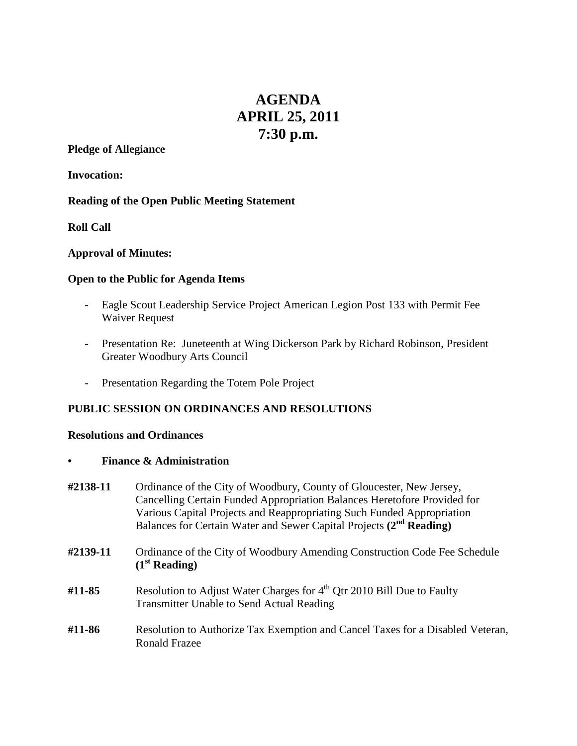# **AGENDA APRIL 25, 2011 7:30 p.m.**

#### **Pledge of Allegiance**

**Invocation:**

#### **Reading of the Open Public Meeting Statement**

**Roll Call**

## **Approval of Minutes:**

## **Open to the Public for Agenda Items**

- Eagle Scout Leadership Service Project American Legion Post 133 with Permit Fee Waiver Request
- Presentation Re: Juneteenth at Wing Dickerson Park by Richard Robinson, President Greater Woodbury Arts Council
- Presentation Regarding the Totem Pole Project

# **PUBLIC SESSION ON ORDINANCES AND RESOLUTIONS**

#### **Resolutions and Ordinances**

**• Finance & Administration**

| #2138-11 | Ordinance of the City of Woodbury, County of Gloucester, New Jersey,<br>Cancelling Certain Funded Appropriation Balances Heretofore Provided for<br>Various Capital Projects and Reappropriating Such Funded Appropriation<br>Balances for Certain Water and Sewer Capital Projects (2 <sup>nd</sup> Reading) |
|----------|---------------------------------------------------------------------------------------------------------------------------------------------------------------------------------------------------------------------------------------------------------------------------------------------------------------|
| #2139-11 | Ordinance of the City of Woodbury Amending Construction Code Fee Schedule<br>(1 <sup>st</sup> Reading)                                                                                                                                                                                                        |
| #11-85   | Resolution to Adjust Water Charges for 4 <sup>th</sup> Qtr 2010 Bill Due to Faulty<br><b>Transmitter Unable to Send Actual Reading</b>                                                                                                                                                                        |
| #11-86   | Resolution to Authorize Tax Exemption and Cancel Taxes for a Disabled Veteran,<br><b>Ronald Frazee</b>                                                                                                                                                                                                        |